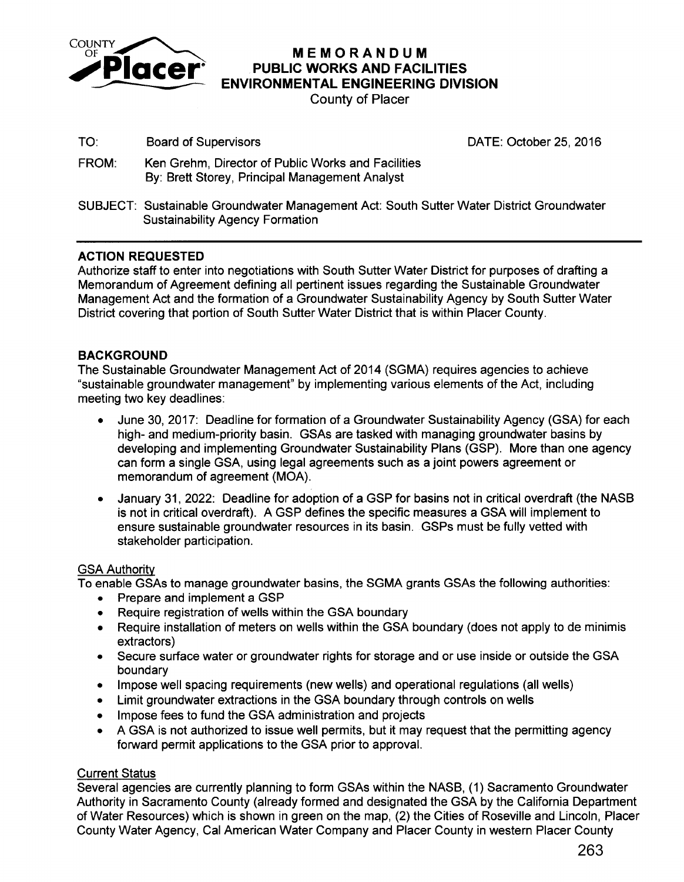

# COUNTY<br>**DICICAL** PUBLIC WORKS AND FACILITIES **PICCEF** PUBLIC WORKS AND FACILITIES<br>ENVIRONMENTAL ENGINEERING DIVIS<br>County of Placer **ENVIRONMENTAL ENGINEERING DIVISION**

County of Placer

TO: Board of Supervisors DATE: October 25, 2016

- FROM: Ken Grehm, Director of Public Works and Facilities By: Brett Storey, Principal Management Analyst
- SUBJECT: Sustainable Groundwater Management Act: South Sutter Water District Groundwater Sustainability Agency Formation

# **ACTION REQUESTED**

Authorize staff to enter into negotiations with South Sutter Water District for purposes of drafting a Memorandum of Agreement defining all pertinent issues regarding the Sustainable Groundwater Management Act and the formation of a Groundwater Sustainability Agency by South Sutter Water District covering that portion of South Sutter Water District that is within Placer County.

# **BACKGROUND**

The Sustainable Groundwater Management Act of 2014 (SGMA) requires agencies to achieve "sustainable groundwater management" by implementing various elements of the Act, including meeting two key deadlines:

- June 30, 2017: Deadline for formation of a Groundwater Sustainability Agency (GSA) for each high- and medium-priority basin. GSAs are tasked with managing groundwater basins by developing and implementing Groundwater Sustainability Plans (GSP). More than one agency can form a single GSA, using legal agreements such as a joint powers agreement or memorandum of agreement (MOA).
- January 31, 2022: Deadline for adoption of a GSP for basins not in critical overdraft (the NASB is not in critical overdraft). A GSP defines the specific measures a GSA will implement to ensure sustainable groundwater resources in its basin. GSPs must be fully vetted with stakeholder participation.

#### **GSA Authority**

To enable GSAs to manage groundwater basins, the SGMA grants GSAs the following authorities:

- Prepare and implement a GSP
- Require registration of wells within the GSA boundary
- Require installation of meters on wells within the GSA boundary (does not apply to de minimis extractors)
- Secure surface water or groundwater rights for storage and or use inside or outside the GSA boundary
- Impose well spacing requirements (new wells) and operational regulations (all wells)
- Limit groundwater extractions in the GSA boundary through controls on wells
- Impose fees to fund the GSA administration and projects
- A GSA is not authorized to issue well permits, but it may request that the permitting agency forward permit applications to the GSA prior to approval.

# Current Status

Several agencies are currently planning to form GSAs within the NASB, (1) Sacramento Groundwater Authority in Sacramento County (already formed and designated the GSA by the California Department of Water Resources) which is shown in green on the map, (2) the Cities of Roseville and Lincoln, Placer County Water Agency, Cal American Water Company and Placer County in western Placer County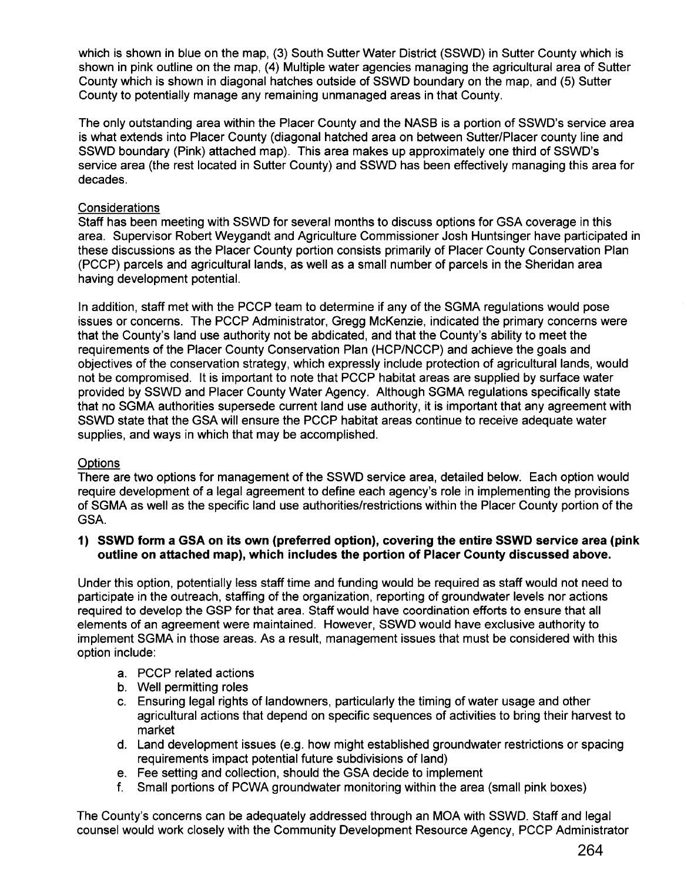which is shown in blue on the map, (3) South Sutter Water District (SSWD) in Sutter County which is shown in pink outline on the map, (4) Multiple water agencies managing the agricultural area of Sutter County which is shown in diagonal hatches outside of SSWD boundary on the map, and (5) Sutter County to potentially manage any remaining unmanaged areas in that County.

The only outstanding area within the Placer County and the NASB is a portion of SSWD's service area is what extends into Placer County (diagonal hatched area on between Sutter/Placer county line and SSWD boundary (Pink) attached map). This area makes up approximately one third of SSWD's service area (the rest located in Sutter County) and SSWD has been effectively managing this area for decades.

# **Considerations**

Staff has been meeting with SSWD for several months to discuss options for GSA coverage in this area. Supervisor Robert Weygandt and Agriculture Commissioner Josh Huntsinger have participated in these discussions as the Placer County portion consists primarily of Placer County Conservation Plan (PCCP) parcels and agricultural lands, as well as a small number of parcels in the Sheridan area having development potential.

In addition, staff met with the PCCP team to determine if any of the SGMA regulations would pose issues or concerns. The PCCP Administrator, Gregg McKenzie, indicated the primary concerns were that the County's land use authority not be abdicated, and that the County's ability to meet the requirements of the Placer County Conservation Plan (HCP/NCCP) and achieve the goals and objectives of the conservation strategy, which expressly include protection of agricultural lands, would not be compromised. It is important to note that PCCP habitat areas are supplied by surface water provided by SSWD and Placer County Water Agency. Although SGMA regulations specifically state that no SGMA authorities supersede current land use authority, it is important that any agreement with SSWD state that the GSA will ensure the PCCP habitat areas continue to receive adequate water supplies, and ways in which that may be accomplished.

# **Options**

There are two options for management of the SSWD service area, detailed below. Each option would require development of a legal agreement to define each agency's role in implementing the provisions of SGMA as well as the specific land use authorities/restrictions within the Placer County portion of the GSA.

#### **1) SSWD form a GSA on its own (preferred option), covering the entire SSWD service area (pink outline on attached map), which includes the portion of Placer County discussed above.**

Under this option, potentially less staff time and funding would be required as staff would not need to participate in the outreach, staffing of the organization, reporting of groundwater levels nor actions required to develop the GSP for that area. Staff would have coordination efforts to ensure that all elements of an agreement were maintained. However, SSWD would have exclusive authority to implement SGMA in those areas. As a result, management issues that must be considered with this option include:

- a. PCCP related actions
- b. Well permitting roles
- c. Ensuring legal rights of landowners, particularly the timing of water usage and other agricultural actions that depend on specific sequences of activities to bring their harvest to market
- d. Land development issues (e.g. how might established groundwater restrictions or spacing requirements impact potential future subdivisions of land)
- e. Fee setting and collection, should the GSA decide to implement
- f. Small portions of PCWA groundwater monitoring within the area (small pink boxes)

The County's concerns can be adequately addressed through an MOA with SSWD. Staff and legal counsel would work closely with the Community Development Resource Agency, PCCP Administrator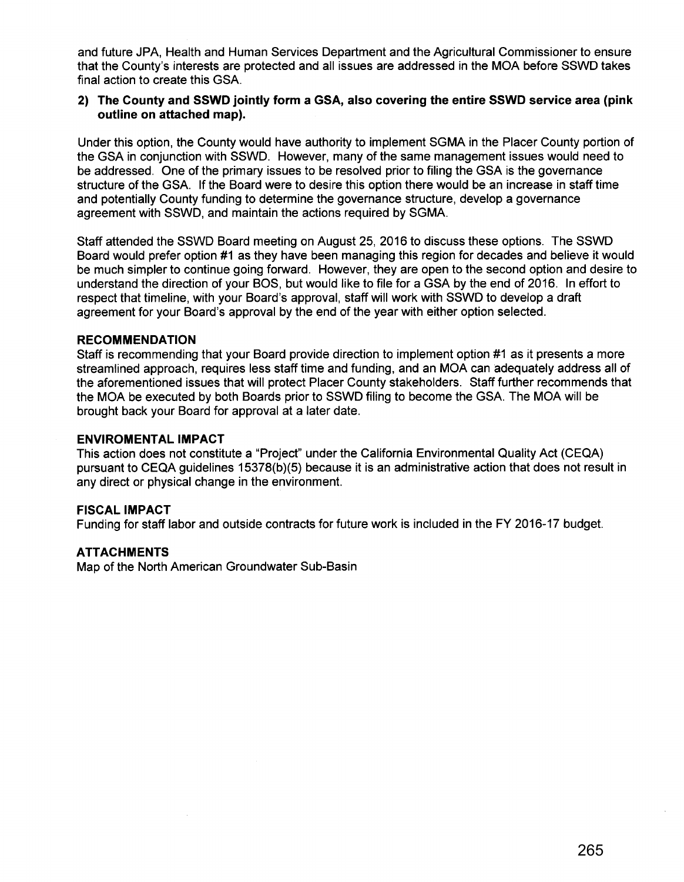and future JPA, Health and Human Services Department and the Agricultural Commissioner to ensure that the County's interests are protected and all issues are addressed in the MOA before SSWD takes final action to create this GSA.

#### **2) The County and SSWD jointly form a GSA, also covering the entire SSWD service area (pink outline on attached map).**

Under this option, the County would have authority to implement SGMA in the Placer County portion of the GSA in conjunction with SSWD. However, many of the same management issues would need to be addressed. One of the primary issues to be resolved prior to filing the GSA is the governance structure of the GSA. If the Board were to desire this option there would be an increase in staff time and potentially County funding to determine the governance structure, develop a governance agreement with SSWD, and maintain the actions required by SGMA.

Staff attended the SSWD Board meeting on August 25, 2016 to discuss these options. The SSWD Board would prefer option #1 as they have been managing this region for decades and believe it would be much simpler to continue going forward. However, they are open to the second option and desire to understand the direction of your BOS, but would like to file for a GSA by the end of 2016. In effort to respect that timeline, with your Board's approval, staff will work with SSWD to develop a draft agreement for your Board's approval by the end of the year with either option selected.

#### **RECOMMENDATION**

Staff is recommending that your Board provide direction to implement option #1 as it presents a more streamlined approach, requires less staff time and funding, and an MOA can adequately address all of the aforementioned issues that will protect Placer County stakeholders. Staff further recommends that the MOA be executed by both Boards prior to SSWD filing to become the GSA. The MOA will be brought back your Board for approval at a later date.

#### **ENVIROMENTAL IMPACT**

This action does not constitute a "Project" under the California Environmental Quality Act (CEQA) pursuant to CEQA guidelines 15378(b)(5) because it is an administrative action that does not result in any direct or physical change in the environment.

#### **FISCAL IMPACT**

Funding for staff labor and outside contracts for future work is included in the FY 2016-17 budget.

### **ATTACHMENTS**

Map of the North American Groundwater Sub-Basin